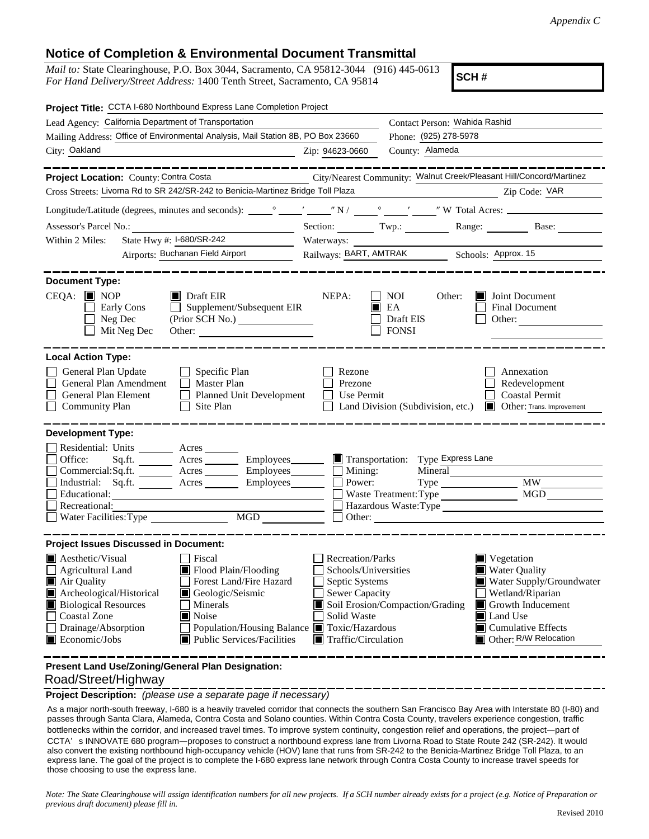## **Notice of Completion & Environmental Document Transmittal**

*Mail to:* State Clearinghouse, P.O. Box 3044, Sacramento, CA 95812-3044 (916) 445-0613 *For Hand Delivery/Street Address:* 1400 Tenth Street, Sacramento, CA 95814

**SCH #**

| Project Title: CCTA I-680 Northbound Express Lane Completion Project                                                                                                                                               |                                            |                                                                                                                                                           |                                                         |                                                                     |  |
|--------------------------------------------------------------------------------------------------------------------------------------------------------------------------------------------------------------------|--------------------------------------------|-----------------------------------------------------------------------------------------------------------------------------------------------------------|---------------------------------------------------------|---------------------------------------------------------------------|--|
| Lead Agency: California Department of Transportation                                                                                                                                                               |                                            | Contact Person: Wahida Rashid                                                                                                                             |                                                         |                                                                     |  |
| Mailing Address: Office of Environmental Analysis, Mail Station 8B, PO Box 23660                                                                                                                                   |                                            | Phone: (925) 278-5978                                                                                                                                     |                                                         |                                                                     |  |
| City: Oakland                                                                                                                                                                                                      |                                            | Zip: 94623-0660                                                                                                                                           | County: Alameda                                         |                                                                     |  |
|                                                                                                                                                                                                                    |                                            |                                                                                                                                                           |                                                         |                                                                     |  |
| Project Location: County: Contra Costa                                                                                                                                                                             |                                            |                                                                                                                                                           |                                                         | City/Nearest Community: Walnut Creek/Pleasant Hill/Concord/Martinez |  |
| Cross Streets: Livorna Rd to SR 242/SR-242 to Benicia-Martinez Bridge Toll Plaza                                                                                                                                   |                                            |                                                                                                                                                           |                                                         | Zip Code: VAR                                                       |  |
|                                                                                                                                                                                                                    |                                            |                                                                                                                                                           |                                                         |                                                                     |  |
| Assessor's Parcel No.:                                                                                                                                                                                             |                                            |                                                                                                                                                           |                                                         | Section: Twp.: Range: Base:                                         |  |
| State Hwy #: I-680/SR-242<br>Within 2 Miles:                                                                                                                                                                       |                                            | Waterways:                                                                                                                                                |                                                         |                                                                     |  |
| Airports: Buchanan Field Airport                                                                                                                                                                                   |                                            | Railways: BART, AMTRAK Schools: Approx. 15                                                                                                                |                                                         |                                                                     |  |
| <b>Document Type:</b>                                                                                                                                                                                              |                                            |                                                                                                                                                           |                                                         |                                                                     |  |
| $CEQA: \blacksquare$ NOP<br>$\blacksquare$ Draft EIR<br>Early Cons<br>Neg Dec<br>Mit Neg Dec                                                                                                                       | $\Box$ Supplement/Subsequent EIR<br>Other: | NEPA:                                                                                                                                                     | <b>NOI</b><br>Other:<br>EA<br>Draft EIS<br><b>FONSI</b> | Joint Document<br>II I<br>Final Document<br>Other:                  |  |
| <b>Local Action Type:</b>                                                                                                                                                                                          |                                            |                                                                                                                                                           |                                                         |                                                                     |  |
| General Plan Update<br>$\Box$ Specific Plan<br>General Plan Amendment<br>$\Box$ Master Plan<br>General Plan Element<br>$\perp$<br><b>Planned Unit Development</b><br><b>Community Plan</b><br>Site Plan<br>$\perp$ |                                            | Rezone<br>Annexation<br>Prezone<br>Redevelopment<br>Use Permit<br><b>Coastal Permit</b><br>Other: Trans. Improvement<br>Land Division (Subdivision, etc.) |                                                         |                                                                     |  |
| <b>Development Type:</b>                                                                                                                                                                                           |                                            |                                                                                                                                                           |                                                         |                                                                     |  |
| Residential: Units _______ Acres _______                                                                                                                                                                           |                                            |                                                                                                                                                           |                                                         |                                                                     |  |
| Sq.ft. Acres Employees<br>Office:                                                                                                                                                                                  |                                            |                                                                                                                                                           | Transportation: Type Express Lane                       |                                                                     |  |
| Commercial:Sq.ft. _______ Acres ________ Employees _______ □ Mining:                                                                                                                                               | Employees                                  | Power:                                                                                                                                                    | Mineral                                                 | <b>MW</b>                                                           |  |
| Industrial: Sq.ft. Acres<br>Educational:                                                                                                                                                                           |                                            | Waste Treatment: Type                                                                                                                                     |                                                         | <b>MGD</b>                                                          |  |
| Recreational:                                                                                                                                                                                                      |                                            | Hazardous Waste: Type                                                                                                                                     |                                                         |                                                                     |  |
| MGD<br>$\Box$ Water Facilities: Type                                                                                                                                                                               |                                            | $\Box$ Other: $\Box$                                                                                                                                      |                                                         |                                                                     |  |
| <b>Project Issues Discussed in Document:</b>                                                                                                                                                                       |                                            |                                                                                                                                                           |                                                         |                                                                     |  |
| <b>A</b> esthetic/Visual<br><b>Fiscal</b>                                                                                                                                                                          |                                            | <b>Recreation/Parks</b>                                                                                                                                   |                                                         | $\blacksquare$ Vegetation                                           |  |
| Flood Plain/Flooding<br>$\Box$ Agricultural Land                                                                                                                                                                   |                                            | Schools/Universities                                                                                                                                      |                                                         | <b>Water Quality</b>                                                |  |
| Air Quality                                                                                                                                                                                                        | Forest Land/Fire Hazard                    | Septic Systems                                                                                                                                            |                                                         | Water Supply/Groundwater                                            |  |
| Archeological/Historical<br>Geologic/Seismic                                                                                                                                                                       |                                            | <b>Sewer Capacity</b>                                                                                                                                     |                                                         | Wetland/Riparian                                                    |  |
| <b>Biological Resources</b><br>Minerals<br><b>Coastal Zone</b>                                                                                                                                                     |                                            | Solid Waste                                                                                                                                               | Soil Erosion/Compaction/Grading                         | $\blacksquare$ Growth Inducement<br>Land Use                        |  |
| Noise<br>Drainage/Absorption<br>Population/Housing Balance Toxic/Hazardous                                                                                                                                         |                                            |                                                                                                                                                           |                                                         | $\blacksquare$ Cumulative Effects                                   |  |
| Public Services/Facilities<br>$\blacksquare$ Economic/Jobs                                                                                                                                                         |                                            | Traffic/Circulation                                                                                                                                       |                                                         | Other: R/W Relocation                                               |  |
|                                                                                                                                                                                                                    |                                            |                                                                                                                                                           |                                                         |                                                                     |  |

 Road/Street/Highway **Present Land Use/Zoning/General Plan Designation:**

**Project Description:** *(please use a separate page if necessary)*

 As a major north-south freeway, I-680 is a heavily traveled corridor that connects the southern San Francisco Bay Area with Interstate 80 (I-80) and passes through Santa Clara, Alameda, Contra Costa and Solano counties. Within Contra Costa County, travelers experience congestion, traffic bottlenecks within the corridor, and increased travel times. To improve system continuity, congestion relief and operations, the project—part of CCTA's INNOVATE 680 program—proposes to construct a northbound express lane from Livorna Road to State Route 242 (SR-242). It would also convert the existing northbound high-occupancy vehicle (HOV) lane that runs from SR-242 to the Benicia-Martinez Bridge Toll Plaza, to an express lane. The goal of the project is to complete the I-680 express lane network through Contra Costa County to increase travel speeds for those choosing to use the express lane.

*Note: The State Clearinghouse will assign identification numbers for all new projects. If a SCH number already exists for a project (e.g. Notice of Preparation or previous draft document) please fill in.*